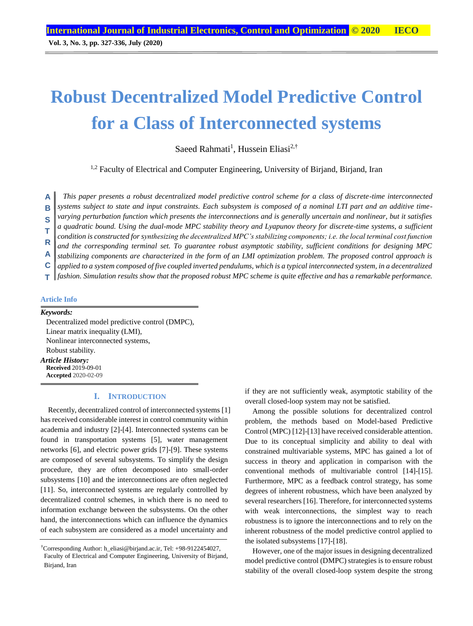**Vol. 3, No. 3, pp. 327-336, July (2020)**

# **Robust Decentralized Model Predictive Control for a Class of Interconnected systems**

Saeed Rahmati<sup>1</sup>, Hussein Eliasi<sup>2,†</sup>

<sup>1,2</sup> Faculty of Electrical and Computer Engineering, University of Birjand, Birjand, Iran

*This paper presents a robust decentralized model predictive control scheme for a class of discrete-time interconnected*  **A**

*systems subject to state and input constraints. Each subsystem is composed of a nominal LTI part and an additive time-***B**

*varying perturbation function which presents the interconnections and is generally uncertain and nonlinear, but it satisfies*  **S**

*a quadratic bound. Using the dual-mode MPC stability theory and Lyapunov theory for discrete-time systems, a sufficient*  **T**

*condition is constructed for synthesizing the decentralized MPC's stabilizing components; i.e. the local terminal cost function*  **R**

*and the corresponding terminal set. To guarantee robust asymptotic stability, sufficient conditions for designing MPC*  **A**

*stabilizing components are characterized in the form of an LMI optimization problem. The proposed control approach is applied to a system composed of five coupled inverted pendulums, which is a typical interconnected system, in a decentralized* **C**

*fashion. Simulation results show that the proposed robust MPC scheme is quite effective and has a remarkable performance.* **T**

## **Article Info**

#### *Keywords:*

Decentralized model predictive control (DMPC), Linear matrix inequality (LMI), Nonlinear interconnected systems, Robust stability. *Article History:* **Received** 2019-09-01 **Accepted** 2020-02-09

## **I. INTRODUCTION**

Recently, decentralized control of interconnected systems [1] has received considerable interest in control community within academia and industry [2]-[4]. Interconnected systems can be found in transportation systems [5], water management networks [6], and electric power grids [7]-[9]. These systems are composed of several subsystems. To simplify the design procedure, they are often decomposed into small-order subsystems [10] and the interconnections are often neglected [11]. So, interconnected systems are regularly controlled by decentralized control schemes, in which there is no need to information exchange between the subsystems. On the other hand, the interconnections which can influence the dynamics of each subsystem are considered as a model uncertainty and

if they are not sufficiently weak, asymptotic stability of the overall closed-loop system may not be satisfied.

Among the possible solutions for decentralized control problem, the methods based on Model-based Predictive Control (MPC) [12]-[13] have received considerable attention. Due to its conceptual simplicity and ability to deal with constrained multivariable systems, MPC has gained a lot of success in theory and application in comparison with the conventional methods of multivariable control [14]-[15]. Furthermore, MPC as a feedback control strategy, has some degrees of inherent robustness, which have been analyzed by several researchers [16]. Therefore, for interconnected systems with weak interconnections, the simplest way to reach robustness is to ignore the interconnections and to rely on the inherent robustness of the model predictive control applied to the isolated subsystems [17]-[18].

However, one of the major issues in designing decentralized model predictive control (DMPC) strategies is to ensure robust stability of the overall closed-loop system despite the strong

<sup>†</sup>Corresponding Author: h\_eliasi@birjand.ac.ir, Tel: +98-9122454027, Faculty of Electrical and Computer Engineering, University of Birjand, Birjand, Iran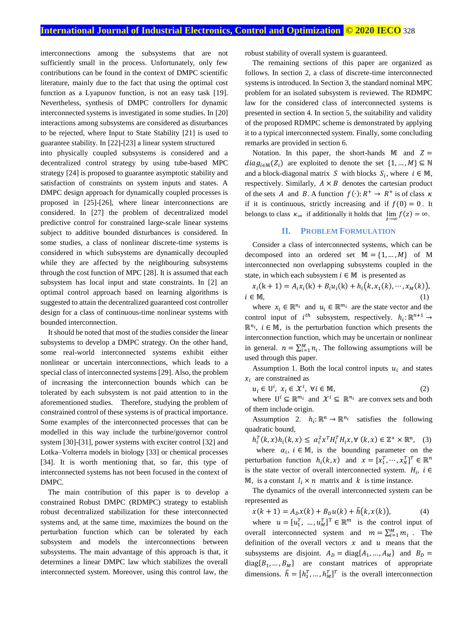interconnections among the subsystems that are not sufficiently small in the process. Unfortunately, only few contributions can be found in the context of DMPC scientific literature, mainly due to the fact that using the optimal cost function as a Lyapunov function, is not an easy task [19]. Nevertheless, synthesis of DMPC controllers for dynamic interconnected systems is investigated in some studies. In [20] interactions among subsystems are considered as disturbances to be rejected, where Input to State Stability [21] is used to guarantee stability. In [22]-[23] a linear system structured into physically coupled subsystems is considered and a decentralized control strategy by using tube-based MPC strategy [24] is proposed to guarantee asymptotic stability and satisfaction of constraints on system inputs and states. A DMPC design approach for dynamically coupled processes is proposed in [25]-[26], where linear interconnections are considered. In [27] the problem of decentralized model predictive control for constrained large-scale linear systems subject to additive bounded disturbances is considered. In some studies, a class of nonlinear discrete-time systems is considered in which subsystems are dynamically decoupled while they are affected by the neighbouring subsystems through the cost function of MPC [28]. It is assumed that each subsystem has local input and state constraints. In [2] an optimal control approach based on learning algorithms is suggested to attain the decentralized guaranteed cost controller design for a class of continuous-time nonlinear systems with bounded interconnection.

It should be noted that most of the studies consider the linear subsystems to develop a DMPC strategy. On the other hand, some real-world interconnected systems exhibit either nonlinear or uncertain interconnections, which leads to a special class of interconnected systems [29]. Also, the problem of increasing the interconnection bounds which can be tolerated by each subsystem is not paid attention to in the aforementioned studies. Therefore, studying the problem of constrained control of these systems is of practical importance. Some examples of the interconnected processes that can be modelled in this way include the turbine/governor control system [30]-[31], power systems with exciter control [32] and Lotka–Volterra models in biology [33] or chemical processes [34]. It is worth mentioning that, so far, this type of interconnected systems has not been focused in the context of DMPC.

The main contribution of this paper is to develop a constrained Robust DMPC (RDMPC) strategy to establish robust decentralized stabilization for these interconnected systems and, at the same time, maximizes the bound on the perturbation function which can be tolerated by each subsystem and models the interconnections between subsystems. The main advantage of this approach is that, it determines a linear DMPC law which stabilizes the overall interconnected system. Moreover, using this control law, the robust stability of overall system is guaranteed.

The remaining sections of this paper are organized as follows. In section 2, a class of discrete-time interconnected systems is introduced. In Section 3, the standard nominal MPC problem for an isolated subsystem is reviewed. The RDMPC law for the considered class of interconnected systems is presented in section 4. In section 5, the suitability and validity of the proposed RDMPC scheme is demonstrated by applying it to a typical interconnected system. Finally, some concluding remarks are provided in section 6.

Notation. In this paper, the short-hands  $\mathbb{M}$  and  $Z =$  $diag_{i \in \mathbb{M}}(Z_i)$  are exploited to denote the set  $\{1, ..., M\} \subseteq \mathbb{N}$ and a block-diagonal matrix S with blocks  $S_i$ , where  $i \in \mathbb{M}$ , respectively. Similarly,  $A \times B$  denotes the cartesian product of the sets A and B. A function  $f(\cdot): R^+ \to R^+$  is of class  $\kappa$ if it is continuous, strictly increasing and if  $f(0) = 0$ . It belongs to class  $\kappa_{\infty}$  if additionally it holds that  $\lim_{z \to \infty} f(z) = \infty$ .

## **II. PROBLEM FORMULATION**

Consider a class of interconnected systems, which can be decomposed into an ordered set  $M = \{1, ..., M\}$  of M interconnected non overlapping subsystems coupled in the state, in which each subsystem  $i \in \mathbb{M}$  is presented as

 $x_i(k + 1) = A_i x_i(k) + B_i u_i(k) + h_i(k, x_1(k), \dots, x_M(k)),$  $i \in \mathbb{M}$ , (1)

where  $x_i \in \mathbb{R}^{n_i}$  and  $u_i \in \mathbb{R}^{m_i}$  are the state vector and the control input of  $i^{th}$  subsystem, respectively.  $h_i: \mathbb{R}^{n+1} \to$  $\mathbb{R}^{n_i}$ ,  $i \in \mathbb{M}$ , is the perturbation function which presents the interconnection function, which may be uncertain or nonlinear in general.  $n = \sum_{i=1}^{M} n_i$ . The following assumptions will be used through this paper.

Assumption 1. Both the local control inputs  $u_i$  and states  $x_i$  are constrained as

 $u_i \in U^i, x_i \in \mathcal{X}^i, \forall i \in \mathbb{M},$  (2)

where  $U^i \subseteq \mathbb{R}^{m_i}$  and  $\mathcal{X}^i \subseteq \mathbb{R}^{n_i}$  are convex sets and both of them include origin.

Assumption 2.  $h_i: \mathbb{R}^n \to \mathbb{R}^{n_i}$  satisfies the following quadratic bound,

 $h_i^T(k, x)h_i(k, x) \leq \alpha_i^2 x^T H_i^T H_i x, \forall (k, x) \in \mathbb{Z}^+ \times \mathbb{R}^n$ , (3)

where  $\alpha_i$ ,  $i \in \mathbb{M}$ , is the bounding parameter on the perturbation function  $h_i(k, x)$  and  $x = [x_1^T, \dots, x_N^T]^T \in \mathbb{R}^n$ is the state vector of overall interconnected system.  $H_i$ ,  $i \in$ M, is a constant  $l_i \times n$  matrix and k is time instance.

The dynamics of the overall interconnected system can be represented as

$$
x(k + 1) = A_D x(k) + B_D u(k) + \tilde{h}(k, x(k)),
$$
 (4)

where  $u = [u_1^T, ..., u_M^T]^T \in \mathbb{R}^m$  is the control input of overall interconnected system and  $m = \sum_{i=1}^{M} m_i$ . The definition of the overall vectors  $x$  and  $u$  means that the subsystems are disjoint.  $A_D = \text{diag}\{A_1, ..., A_M\}$  and  $B_D =$  $diag{B_1, ..., B_M}$  are constant matrices of appropriate dimensions.  $\tilde{h} = [h_1^T, ..., h_M^T]^T$  is the overall interconnection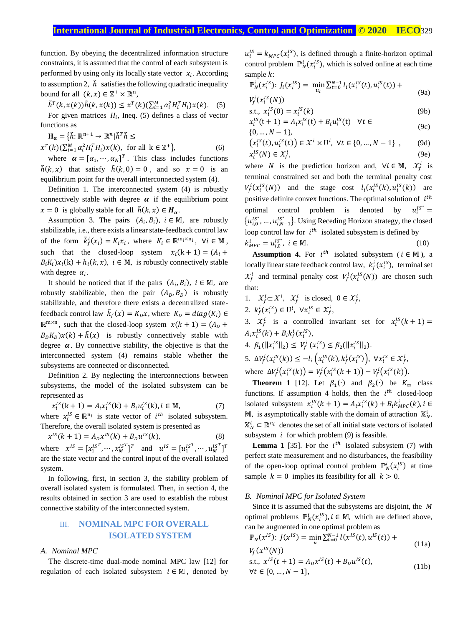function. By obeying the decentralized information structure constraints, it is assumed that the control of each subsystem is performed by using only its locally state vector  $x_i$ . According to assumption 2,  $\tilde{h}$  satisfies the following quadratic inequality bound for all  $(k, x) \in \mathbb{Z}^+ \times \mathbb{R}^n$ ,

$$
\tilde{h}^T(k, x(k))\tilde{h}(k, x(k)) \leq x^T(k)(\sum_{i=1}^M \alpha_i^2 H_i^T H_i) x(k). \quad (5)
$$

For given matrices  $H_i$ , Ineq. (5) defines a class of vector functions as

$$
\mathbf{H}_{\alpha} = \{\tilde{h}: \mathbb{R}^{n+1} \to \mathbb{R}^n | \tilde{h}^T \tilde{h} \le
$$
  

$$
x^T(k)(\sum_{i=1}^M \alpha_i^2 H_i^T H_i) x(k), \text{ for all } k \in \mathbb{Z}^+\},
$$
 (6)

where  $\boldsymbol{\alpha} = [\alpha_1, \cdots, \alpha_N]^T$ . This class includes functions  $\tilde{h}(k, x)$  that satisfy  $\tilde{h}(k, 0) = 0$ , and so  $x = 0$  is an equilibrium point for the overall interconnected system (4).

Definition 1. The interconnected system (4) is robustly connectively stable with degree  $\alpha$  if the equilibrium point  $x = 0$  is globally stable for all  $\tilde{h}(k, x) \in H_{\alpha}$ .

Assumption 3. The pairs  $(A_i, B_i)$ ,  $i \in M$ , are robustly stabilizable, i.e., there exists a linear state-feedback control law of the form  $\overline{k}_f^i(x_i) = K_i x_i$ , where  $K_i \in \mathbb{R}^{m_i \times n_i}$ ,  $\forall i \in \mathbb{M}$ , such that the closed-loop system  $x_i(k + 1) = (A_i +$  $B_i K_i$ ) $x_i$ (k) +  $h_i$ (k, x),  $i \in M$ , is robustly connectively stable with degree  $\alpha_i$ .

It should be noticed that if the pairs  $(A_i, B_i)$ ,  $i \in \mathbb{M}$ , are robustly stabilizable, then the pair  $(A_D, B_D)$  is robustly stabilizable, and therefore there exists a decentralized statefeedback control law  $\bar{k}_f(x) = K_D x$ , where  $K_D = diag(K_i) \in$  $\mathbb{R}^{m \times n}$ , such that the closed-loop system  $x(k + 1) = (A_D +$  $(B_D K_D)x(k) + \tilde{h}(x)$  is robustly connectively stable with degree  $\alpha$ . By connective stability, the objective is that the interconnected system (4) remains stable whether the subsystems are connected or disconnected.

Definition 2. By neglecting the interconnections between subsystems, the model of the isolated subsystem can be represented as

$$
x_i^{IS}(k+1) = A_i x_i^{IS}(k) + B_i u_i^{IS}(k), i \in \mathbb{M},
$$
 (7)

where  $x_i^{IS} \in \mathbb{R}^{n_i}$  is state vector of  $i^{th}$  isolated subsystem. Therefore, the overall isolated system is presented as

$$
x^{IS}(k+1) = A_D x^{IS}(k) + B_D u^{IS}(k),
$$
\n(8)

where  $x^{IS} = [x_1^{IST}, \dots, x_M^{IST}]^T$  and  $u^{IS} = [u_1^{IST}, \dots, u_M^{IST}]^T$ are the state vector and the control input of the overall isolated system.

In following, first, in section 3, the stability problem of overall isolated system is formulated. Then, in section 4, the results obtained in section 3 are used to establish the robust connective stability of the interconnected system.

# III. **NOMINAL MPC FOR OVERALL ISOLATED SYSTEM**

## *A. Nominal MPC*

The discrete-time dual-mode nominal MPC law [12] for regulation of each isolated subsystem  $i \in M$ , denoted by

 $u_i^{IS} = k_{MPC}(x_i^{IS})$ , is defined through a finite-horizon optimal control problem  $\mathbb{P}_N^i(x_i^{IS})$ , which is solved online at each time sample  $k$ :

$$
\mathbb{P}_{N}^{i}(x_{i}^{IS}) \colon J_{i}(x_{i}^{IS}) = \min_{u_{i}} \sum_{t=0}^{N-1} l_{i}(x_{i}^{IS}(t), u_{i}^{IS}(t)) + V_{f}^{i}(x_{i}^{IS}(N)) \tag{9a}
$$

$$
s.t., x_i^{IS}(0) = x_i^{IS}(k) \tag{9b}
$$

$$
x_i^{IS}(t+1) = A_i x_i^{IS}(t) + B_i u_i^{IS}(t) \quad \forall t \in
$$
  
{0, ..., N - 1}, (9c)

$$
(x_i^{IS}(t), u_i^{IS}(t)) \in \mathcal{X}^i \times U^i, \ \forall t \in \{0, \dots, N-1\} \ , \tag{9d}
$$
  

$$
x_i^{IS}(N) \in \mathcal{X}_i^i, \tag{9e}
$$

where *N* is the prediction horizon and,  $\forall i \in \mathbb{M}$ ,  $\mathcal{X}_f^i$  is terminal constrained set and both the terminal penalty cost  $V_f^i(x_i^{IS}(N))$  and the stage cost  $l_i(x_i^{IS}(k), u_i^{IS}(k))$  are positive definite convex functions. The optimal solution of  $i<sup>th</sup>$ optimal control problem is denoted by  $u_i^{Is*} =$  ${u_{i,0}^{IS}}^*$ , ...,  ${u_{i,N-1}^{IS}}$ . Using Receding Horizon strategy, the closed loop control law for  $i^{th}$  isolated subsystem is defined by  $k_{MPC}^i = u_{i,0}^{IS^*}, i \in \mathbb{M}.$  (10)

**Assumption 4.** For  $i^{th}$  isolated subsystem ( $i \in M$ ), a locally linear state feedback control law,  $k_f^i(x_i^{IS})$ , terminal set  $\mathcal{X}_f^i$  and terminal penalty cost  $V_f^i(x_i^{IS}(N))$  are chosen such that:

- 1.  $\mathcal{X}_f^i \subset \mathcal{X}^i$ ,  $\mathcal{X}_f^i$  is closed,  $0 \in \mathcal{X}_f^i$ ,
- 2.  $k_f^i(x_i^{IS}) \in U^i$ ,  $\forall x_i^{IS} \in \mathcal{X}_f^i$ ,

3.  $\mathcal{X}_f^i$  is a controlled invariant set for  $x_i^{IS}(k+1) =$  $A_i x_i^{IS}(k) + B_i k_f^i(x_i^{IS}),$ 

- 4.  $\beta_1(||x_i^{IS}||_2) \le V_f^i(x_i^{IS}) \le \beta_2(||x_i^{IS}||_2).$
- 5.  $\Delta V_f^i(x_i^{IS}(k)) \le -l_i\left(x_i^{IS}(k), k_f^i(x_i^{IS})\right), \ \forall x_i^{IS} \in \mathcal{X}_f^i,$ where  $\Delta V_f^i(x_i^{IS}(k)) = V_f^i(x_i^{IS}(k+1)) - V_f^i(x_i^{IS}(k)).$

**Theorem 1** [12]. Let  $\beta_1(\cdot)$  and  $\beta_2(\cdot)$  be  $K_{\infty}$  class functions. If assumption 4 holds, then the  $i^{th}$  closed-loop isolated subsystem  $x_i^{IS}(k + 1) = A_i x_i^{IS}(k) + B_i k_{MPC}^i(k)$ ,  $i \in$ M, is asymptotically stable with the domain of attraction  $\mathbb{X}_N^i$ .  $\mathbb{X}_N^i$   $\subset \mathbb{R}^{n_i}$  denotes the set of all initial state vectors of isolated subsystem  $i$  for which problem (9) is feasible.

**Lemma 1** [35]. For the  $i^{th}$  isolated subsystem (7) with perfect state measurement and no disturbances, the feasibility of the open-loop optimal control problem  $\mathbb{P}_N^i(x_i^{IS})$  at time sample  $k = 0$  implies its feasibility for all  $k > 0$ .

## *B. Nominal MPC for Isolated System*

Since it is assumed that the subsystems are disjoint, the M optimal problems  $\mathbb{P}_N^i(x_i^{IS})$ ,  $i \in \mathbb{M}$ , which are defined above, can be augmented in one optimal problem as

$$
\mathbb{P}_N(x^{IS}) \colon J(x^{IS}) = \min_u \sum_{t=0}^{N-1} l(x^{IS}(t), u^{IS}(t)) + V_f(x^{IS}(N)) \tag{11a}
$$

s.t., 
$$
x^{IS}(t+1) = A_D x^{IS}(t) + B_D u^{IS}(t)
$$
,  
\n $\forall t \in \{0, ..., N-1\},$  (11b)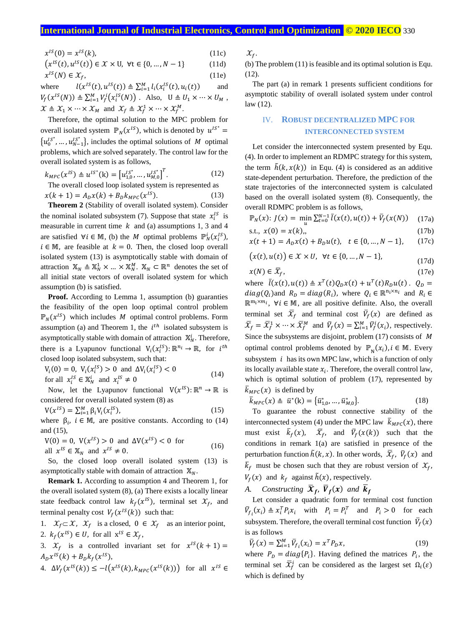$$
x^{IS}(0) = x^{IS}(k),\tag{11c}
$$

$$
(x^{IS}(t), u^{IS}(t)) \in \mathcal{X} \times U, \forall t \in \{0, \dots, N-1\}
$$
 (11d)

$$
\chi^{IS}(N) \in \mathcal{X}_f,\tag{11e}
$$

where  $L^{IS}(t), u^{IS}(t)) \triangleq \sum_{i=1}^{M} l_i(x_i^{IS}(t), u_i(t))$ and  $V_f(x^{IS}(N)) \triangleq \sum_{i=1}^M V_f^i(x_i^{IS}(N))$ . Also,  $U \triangleq U_1 \times \cdots \times U_M$ ,  $\mathcal{X} \triangleq \mathcal{X}_1 \times \cdots \times \mathcal{X}_M$  and  $\mathcal{X}_f \triangleq \mathcal{X}_f^1 \times \cdots \times \mathcal{X}_f^M$ .

Therefore, the optimal solution to the MPC problem for overall isolated system  $\mathbb{P}_N(x^{1S})$ , which is denoted by  $u^{1S^*} =$  ${u_0^{IS}}^*$ , ...,  ${u_{N-1}^{IS}}$ , includes the optimal solutions of M optimal problems, which are solved separately. The control law for the overall isolated system is as follows,

$$
k_{MPC}(x^{IS}) \triangleq u^{IS^*}(\mathbf{k}) = \left[u_{1,0}^{IS^*}, \dots, u_{M,0}^{IS^*}\right]^T. \tag{12}
$$

The overall closed loop isolated system is represented as

$$
x(k+1) = A_D x(k) + B_D k_{MPC}(x^{IS}).
$$
 (13)

**Theorem 2** (Stability of overall isolated system). Consider the nominal isolated subsystem (7). Suppose that state  $x_i^{IS}$  is measurable in current time  $k$  and (a) assumptions 1, 3 and 4 are satisfied  $\forall i \in \mathbb{M}$ , (b) the *M* optimal problems  $\mathbb{P}_N^i(x_i^{IS})$ ,  $i \in \mathbb{M}$ , are feasible at  $k = 0$ . Then, the closed loop overall isolated system (13) is asymptotically stable with domain of attraction  $\mathbb{X}_N \triangleq \mathbb{X}_N^1 \times ... \times \mathbb{X}_N^M$ .  $\mathbb{X}_N \subset \mathbb{R}^n$  denotes the set of all initial state vectors of overall isolated system for which assumption (b) is satisfied.

Proof. According to Lemma 1, assumption (b) guaranties the feasibility of the open loop optimal control problem  $\mathbb{P}_N(x^{1S})$  which includes *M* optimal control problems. Form assumption (a) and Theorem 1, the  $i<sup>th</sup>$  isolated subsystem is asymptotically stable with domain of attraction  $\mathbb{X}_N^i$ . Therefore, there is a Lyapunov functional  $V_i(x_i^{IS})$ :  $\mathbb{R}^{n_i} \to \mathbb{R}$ , for  $i^{th}$ closed loop isolated subsystem, such that:

$$
V_i(0) = 0, V_i(x_i^{IS}) > 0 \text{ and } \Delta V_i(x_i^{IS}) < 0
$$
  
for all  $x_i^{IS} \in \mathbb{X}_N^i$  and  $x_i^{IS} \neq 0$  (14)

Now, let the Lyapunov functional  $V(x^{1S})$ :  $\mathbb{R}^n \to \mathbb{R}$  is considered for overall isolated system (8) as

$$
V(x^{IS}) = \sum_{i=1}^{M} \beta_i V_i(x_i^{IS}),
$$
\n(15)

where  $\beta_i$ ,  $i \in M$ , are positive constants. According to (14) and (15),

$$
V(0) = 0, V(x^{IS}) > 0 \text{ and } \Delta V(x^{IS}) < 0 \text{ for}
$$
  
all  $x^{IS} \in X_N$  and  $x^{IS} \neq 0$ . (16)

So, the closed loop overall isolated system (13) is asymptotically stable with domain of attraction  $\mathbb{X}_N$ .

**Remark 1.** According to assumption 4 and Theorem 1, for the overall isolated system (8), (a) There exists a locally linear state feedback control law  $k_f(x^{IS})$ , terminal set  $\mathcal{X}_f$ , and terminal penalty cost  $V_f(x^{1S}(k))$  such that:

1.  $\mathcal{X}_f \subset \mathcal{X}$ ,  $\mathcal{X}_f$  is a closed,  $0 \in \mathcal{X}_f$  as an interior point, 2.  $k_f(x^{IS}) \in U$ , for all  $x^{IS} \in \mathcal{X}_f$ ,

3.  $\mathcal{X}_f$  is a controlled invariant set for  $x^{1S}(k+1) =$  $A_D x^{IS}(k) + B_D k_f(x^{IS}),$ 

4.  $\Delta V_f(x^{IS}(k)) \le -l(x^{IS}(k), k_{MPC}(x^{IS}(k)))$  for all  $x^{IS} \in$ 

 $\mathcal{X}_f$ .

(b) The problem (11) is feasible and its optimal solution is Equ. (12).

The part (a) in remark 1 presents sufficient conditions for asymptotic stability of overall isolated system under control law (12).

# IV. **ROBUST DECENTRALIZED MPC FOR INTERCONNECTED SYSTEM**

Let consider the interconnected system presented by Equ. (4). In order to implement an RDMPC strategy for this system, the term  $\tilde{h}(k, x(k))$  in Equ. (4) is considered as an additive state-dependent perturbation. Therefore, the prediction of the state trajectories of the interconnected system is calculated based on the overall isolated system (8). Consequently, the overall RDMPC problem is as follows,

$$
\mathbb{P}_N(x) : J(x) = \min_{u} \sum_{t=0}^{N-1} \bar{l}(x(t), u(t)) + \bar{V}_f(x(N)) \quad (17a)
$$

s.t., 
$$
x(0) = x(k)
$$
, (17b)

$$
x(t+1) = A_D x(t) + B_D u(t), \quad t \in \{0, ..., N-1\}, \qquad (17c)
$$

$$
(x(t), u(t)) \in \mathcal{X} \times U, \ \forall t \in \{0, \dots, N-1\},\tag{17d}
$$

$$
x(N) \in \overline{X}_f, \tag{17e}
$$

where  $\bar{l}(x(t), u(t)) \triangleq x^T(t)Q_D x(t) + u^T(t)R_D u(t)$ .  $Q_D =$  $diag(Q_i)$  and  $R_D = diag(R_i)$ , where  $Q_i \in \mathbb{R}^{n_i \times n_i}$  and  $R_i \in$  $\mathbb{R}^{m_1 \times m_i}$ ,  $\forall i \in \mathbb{M}$ , are all positive definite. Also, the overall terminal set  $\bar{X}_f$  and terminal cost  $\bar{V}_f(x)$  are defined as  $\overline{X}_f = \overline{X}_f^1 \times \cdots \times \overline{X}_f^M$  and  $\overline{V}_f(x) = \sum_{i=1}^M \overline{V}_f^i(x_i)$ , respectively. Since the subsystems are disjoint, problem (17) consists of M optimal control problems denoted by  $\mathbb{P}_N(x_i)$ ,  $i \in \mathbb{M}$ . Every subsystem  $i$  has its own MPC law, which is a function of only its locally available state  $x_i$ . Therefore, the overall control law, which is optimal solution of problem (17), represented by  $\overline{k}_{MPC}(x)$  is defined by

$$
\bar{k}_{MPC}(x) \triangleq \bar{u}^*(k) = {\bar{u}_{1,0}^*, \dots, \bar{u}_{M,0}^*}.
$$
 (18)

To guarantee the robust connective stability of the interconnected system (4) under the MPC law  $\bar{k}_{MPC}(x)$ , there must exist  $\bar{k}_f(x)$ ,  $\bar{x}_f$ , and  $\bar{V}_f(x(k))$  such that the conditions in remark 1(a) are satisfied in presence of the perturbation function  $\tilde{h}(k, x)$ . In other words,  $\bar{x}_f$ ,  $\bar{V}_f(x)$  and  $\bar{k}_f$  must be chosen such that they are robust version of  $\mathcal{X}_f$ ,  $V_f(x)$  and  $k_f$  against  $\tilde{h}(x)$ , respectively.

*A. Constructing*  $\bar{\boldsymbol{X}}_f$ ,  $\bar{V}_f(\boldsymbol{x})$  and  $\bar{k}_f$ 

Let consider a quadratic form for terminal cost function  $\overline{V}_{f_i}(x_i) \triangleq x_i^T P_i x_i$  with  $P_i = P_i^T$  and  $P_i > 0$  for each subsystem. Therefore, the overall terminal cost function  $\bar{V}_f(x)$ is as follows

$$
\overline{V}_f(x) = \sum_{i=1}^M \overline{V}_{f_i}(x_i) = x^T P_D x,\tag{19}
$$

where  $P_D = diag\{P_i\}$ . Having defined the matrices  $P_i$ , the terminal set  $\overline{X}_f^i$  can be considered as the largest set  $\Omega_i(\varepsilon)$ which is defined by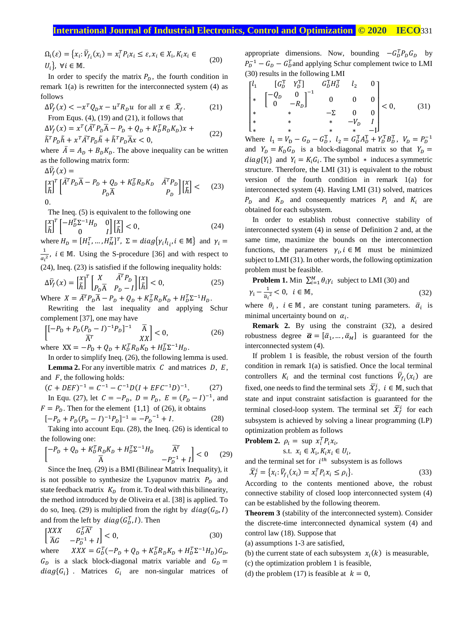$\Omega_i(\varepsilon) = \{x_i : \overline{V}_{f_i}(x_i) = x_i^T P_i x_i \le \varepsilon, x_i \in X_i, K_i x_i \in$  $U_i$ ,  $\forall i \in \mathbb{M}$ . (20)

In order to specify the matrix  $P<sub>n</sub>$ , the fourth condition in remark 1(a) is rewritten for the interconnected system (4) as follows

$$
\Delta \bar{V}_f(x) < -x^T Q_D x - u^T R_D u \quad \text{for all} \quad x \in \bar{X}_f. \tag{21}
$$
\n
$$
\text{From Equs. (4), (19) and (21), it follows that}
$$

$$
\Delta V_f(x) = x^T (\overline{A}^T P_D \overline{A} - P_D + Q_D + K_D^T R_D K_D) x +
$$

$$
\tilde{h}^T P_D \tilde{h} + x^T \bar{A}^T P_D \tilde{h} + \tilde{h}^T P_D \bar{A} x < 0,\tag{22}
$$

where  $\overline{A} = A_D + B_D K_D$ . The above inequality can be written as the following matrix form:

$$
\Delta \overline{V}_f(x) =
$$
\n
$$
\begin{bmatrix} \chi \\ \tilde{h} \end{bmatrix}^T \begin{bmatrix} \overline{A}^T P_D \overline{A} - P_D + Q_D + K_D^T R_D K_D & \overline{A}^T P_D \\ P_D \overline{A} & P_D \end{bmatrix} \begin{bmatrix} \chi \\ \tilde{h} \end{bmatrix} < (23)
$$
\n
$$
0.
$$

The Ineq. (5) is equivalent to the following one

$$
\begin{bmatrix} x \\ \tilde{h} \end{bmatrix}^T \begin{bmatrix} -H_D^T \Sigma^{-1} H_D & 0 \\ 0 & I \end{bmatrix} \begin{bmatrix} x \\ \tilde{h} \end{bmatrix} < 0,\tag{24}
$$

where  $H_D = [H_1^T, ..., H_M^T]^T$ ,  $\Sigma = diag\{ \gamma_i I_{l_i}, i \in M \}$  and  $\gamma_i =$ 1  $\frac{1}{\alpha_i^2}$ ,  $i \in M$ . Using the S-procedure [36] and with respect to (24), Ineq. (23) is satisfied if the following inequality holds:

$$
\Delta \bar{V}_f(x) = \begin{bmatrix} x \\ \tilde{h} \end{bmatrix}^T \begin{bmatrix} X & \bar{A}^T P_D \\ P_D \bar{A} & P_D - I \end{bmatrix} \begin{bmatrix} x \\ \tilde{h} \end{bmatrix} < 0, \tag{25}
$$

Where  $X = \overline{A}^T P_D \overline{A} - P_D + Q_D + K_D^T R_D K_D + H_D^T \Sigma^{-1} H_D$ .

Rewriting the last inequality and applying Schur complement [37], one may have

$$
\begin{bmatrix} [-P_{\rm D} + P_{\rm D}(P_{\rm D} - I)^{-1}P_{\rm D}]^{-1} & \overline{A} \\ \overline{A}^T & XX \end{bmatrix} < 0, \tag{26}
$$

where  $XX = -P_D + Q_D + K_D^T R_D K_D + H_D^T \Sigma^{-1} H_D$ .

In order to simplify Ineq. (26), the following lemma is used. **Lemma 2.** For any invertible matrix  $C$  and matrices  $D$ ,  $E$ , and  $F$ , the following holds:

$$
(C + DEF)^{-1} = C^{-1} - C^{-1}D(I + EFC^{-1}D)^{-1}.
$$
 (27)

In Equ. (27), let  $C = -P_D$ ,  $D = P_D$ ,  $E = (P_D - I)^{-1}$ , and  $F = P_D$ . Then for the element {1,1} of (26), it obtains

$$
[-PD + PD(PD - I)-1PD]-1 = -PD-1 + I.
$$
 (28)

Taking into account Equ. (28), the Ineq. (26) is identical to the following one:

$$
\begin{bmatrix} -P_D + Q_D + K_D^T R_D K_D + H_D^T \Sigma^{-1} H_D & \overline{A}^T \\ \overline{A} & -P_D^{-1} + I \end{bmatrix} < 0 \tag{29}
$$

Since the Ineq. (29) is a BMI (Bilinear Matrix Inequality), it is not possible to synthesize the Lyapunov matrix  $P<sub>D</sub>$  and state feedback matrix  $K<sub>D</sub>$  from it. To deal with this bilinearity, the method introduced by de Oliveira et al. [38] is applied. To do so, Ineq. (29) is multiplied from the right by  $diag(G_D, I)$ and from the left by  $diag(G_D^T, I)$ . Then

$$
\begin{bmatrix} XXX & G_D^T \overline{A}^T \\ \overline{A}G & -P_D^{-1} + I \end{bmatrix} < 0,\tag{30}
$$

where  $XXX = G_D^T(-P_D + Q_D + K_D^T R_D K_D + H_D^T \Sigma^{-1} H_D) G_D$ ,  $G<sub>D</sub>$  is a slack block-diagonal matrix variable and  $G<sub>D</sub>$  =  $diag{G_i}$  . Matrices  $G_i$  are non-singular matrices of

appropriate dimensions. Now, bounding  $-G_D^T P_D G_D$  by  $P_D^{-1} - G_D - G_D^T$  and applying Schur complement twice to LMI (30) results in the following LMI

$$
\begin{bmatrix}\n l_1 & [G_D^T & Y_D^T] & G_D^T H_D^T & l_2 & 0 \\
* & [ -Q_D & 0 & ]^{-1} & 0 & 0 & 0 \\
* & 0 & -R_D & 0 & 0 & 0 \\
* & * & * & -\Sigma & 0 & 0 \\
* & * & * & * & -I & 0\n \end{bmatrix}\n < 0,\tag{31}
$$

Where  $l_1 = V_D - G_D - G_D^T$ ,  $l_2 = G_D^T A_D^T + Y_D^T B_D^T$ ,  $V_D = P_D^{-1}$ and  $Y_D = K_D G_D$  is a block-diagonal matrix so that  $Y_D =$  $diag{Y_i}$  and  $Y_i = K_i G_i$ . The symbol  $*$  induces a symmetric structure. Therefore, the LMI (31) is equivalent to the robust version of the fourth condition in remark 1(a) for interconnected system (4). Having LMI (31) solved, matrices  $P_D$  and  $K_D$  and consequently matrices  $P_i$  and  $K_i$  are obtained for each subsystem.

In order to establish robust connective stability of interconnected system (4) in sense of Definition 2 and, at the same time, maximize the bounds on the interconnection functions, the parameters  $\gamma_i, i \in \mathbb{M}$  must be minimized subject to LMI (31). In other words, the following optimization problem must be feasible.

**Problem 1.** Min  $\sum_{i=1}^{M} \theta_i \gamma_i$  subject to LMI (30) and

$$
\gamma_i - \frac{1}{\bar{\alpha}_i^2} < 0, \quad i \in \mathbb{M},\tag{32}
$$

where  $\theta_i$ ,  $i \in \mathbb{M}$ , are constant tuning parameters.  $\overline{\alpha}_i$  is minimal uncertainty bound on  $\alpha_i$ .

**Remark 2.** By using the constraint (32), a desired robustness degree  $\bar{\boldsymbol{\alpha}} = [\bar{\alpha}_1, ..., \bar{\alpha}_M]$  is guaranteed for the interconnected system (4).

If problem 1 is feasible, the robust version of the fourth condition in remark 1(a) is satisfied. Once the local terminal controllers  $K_i$  and the terminal cost functions  $\overline{V}_{f_i}(x_i)$  are fixed, one needs to find the terminal sets  $\bar{\mathcal{X}}_f^i$ ,  $i \in \mathbb{M}$ , such that state and input constraint satisfaction is guaranteed for the terminal closed-loop system. The terminal set  $\overline{X}_f^i$  for each subsystem is achieved by solving a linear programming (LP) optimization problem as follows

**Problem 2.**  $\rho_i = \sup_{i} x_i^T P_i x_i$ 

$$
s.t. \ x_i \in X_i, K_i x_i \in U_i,
$$

and the terminal set for  $i^{th}$  subsystem is as follows

$$
\overline{X}_f^i = \{x_i : \overline{V}_{f_i}(x_i) = x_i^T P_i x_i \le \rho_i\}.
$$
\n(33)

According to the contents mentioned above, the robust connective stability of closed loop interconnected system (4) can be established by the following theorem.

**Theorem 3** (stability of the interconnected system). Consider the discrete-time interconnected dynamical system (4) and control law (18). Suppose that

(a) assumptions 1-3 are satisfied,

- (b) the current state of each subsystem  $x_i(k)$  is measurable,
- (c) the optimization problem 1 is feasible,

(d) the problem (17) is feasible at  $k = 0$ ,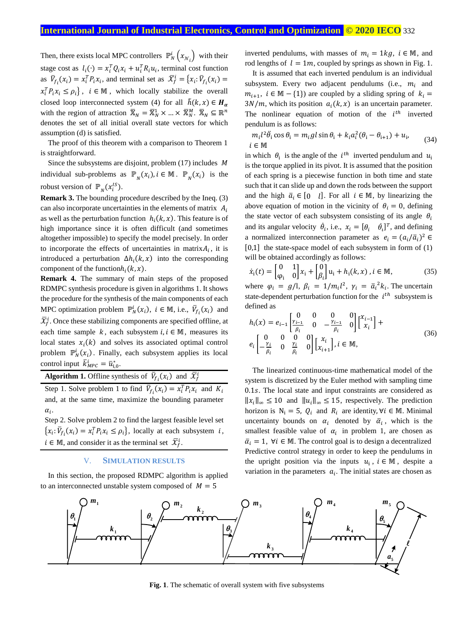Then, there exists local MPC controllers  $\mathbb{P}_N^i(x_{\mathcal{N}_i})$  with their stage cost as  $l_i(\cdot) = x_i^T Q_i x_i + u_i^T R_i u_i$ , terminal cost function as  $\overline{V}_{f_i}(x_i) = x_i^T P_i x_i$ , and terminal set as  $\overline{X}_f^i = \{x_i : \overline{V}_{f_i}(x_i) =$  $x_i^T P_i x_i \le \rho_i$ ,  $i \in \mathbb{M}$ , which locally stabilize the overall closed loop interconnected system (4) for all  $\tilde{h}(k, x) \in H_{\alpha}$ with the region of attraction  $\overline{X}_N = \overline{X}_N^1 \times ... \times \overline{X}_N^M$ .  $\overline{X}_N \subseteq \mathbb{R}^n$ denotes the set of all initial overall state vectors for which assumption (d) is satisfied.

The proof of this theorem with a comparison to Theorem 1 is straightforward.

Since the subsystems are disjoint, problem  $(17)$  includes  $M$ individual sub-problems as  $\mathbb{P}_N(x_i)$ ,  $i \in \mathbb{M}$ .  $\mathbb{P}_N(x_i)$  is the robust version of  $\mathbb{P}_N(x_i^{IS})$ .

**Remark 3.** The bounding procedure described by the Ineq. (3) can also incorporate uncertainties in the elements of matrix  $A_i$ as well as the perturbation function  $h_i(k, x)$ . This feature is of high importance since it is often difficult (and sometimes altogether impossible) to specify the model precisely. In order to incorporate the effects of uncertainties in matrix $A_i$ , it is introduced a perturbation  $\Delta h_i(k, x)$  into the corresponding component of the function $h_i(k, x)$ .

**Remark 4.** The summary of main steps of the proposed RDMPC synthesis procedure is given in algorithms 1. It shows the procedure for the synthesis of the main components of each MPC optimization problem  $\mathbb{P}_N^i(x_i)$ ,  $i \in \mathbb{M}$ , i.e.,  $\overline{V}_{f_i}(x_i)$  and  $\bar{\mathcal{X}}_f^i$ . Once these stabilizing components are specified offline, at each time sample  $k$ , each subsystem  $i, i \in \mathbb{M}$ , measures its local states  $x_i(k)$  and solves its associated optimal control problem  $\mathbb{P}_N^i(x_i)$ . Finally, each subsystem applies its local control input  $\bar{k}_{MPC}^i = \bar{u}_{i,0}^*$ .

**Algorithm 1.** Offline synthesis of  $\overline{V}_{f_i}(x_i)$  and  $\overline{X}_f^i$ 

Step 1. Solve problem 1 to find  $\overline{V}_{f_i}(x_i) = x_i^T P_i x_i$  and  $K_i$ and, at the same time, maximize the bounding parameter  $\alpha_i$ .

Step 2. Solve problem 2 to find the largest feasible level set  ${x_i: \overline{V}_{f_i}(x_i) = x_i^T P_i x_i \le \rho_i},$  locally at each subsystem *i*,  $i \in \mathbb{M}$ , and consider it as the terminal set  $\overline{X}_{f}^{i}$ .

# V. **SIMULATION RESULTS**

In this section, the proposed RDMPC algorithm is applied to an interconnected unstable system composed of  $M = 5$ 

inverted pendulums, with masses of  $m_i = 1kg$ ,  $i \in M$ , and rod lengths of  $l = 1m$ , coupled by springs as shown in Fig. 1.

It is assumed that each inverted pendulum is an individual subsystem. Every two adjacent pendulums (i.e.,  $m_i$  and  $m_{i+1}$ ,  $i \in \mathbb{M} - \{1\}$  are coupled by a sliding spring of  $k_i =$  $3N/m$ , which its position  $a_i(k, x)$  is an uncertain parameter. The nonlinear equation of motion of the  $i<sup>th</sup>$  inverted pendulum is as follows:

$$
m_i l^2 \ddot{\theta}_i \cos \theta_i = m_i g l \sin \theta_i + k_i a_i^2 (\theta_i - \theta_{i+1}) + u_i,
$$
  
\n $i \in \mathbb{M}$  (34)

in which  $\theta_i$  is the angle of the  $i^{th}$  inverted pendulum and  $u_i$ is the torque applied in its pivot. It is assumed that the position of each spring is a piecewise function in both time and state such that it can slide up and down the rods between the support and the high  $\bar{a}_i \in [0 \quad l]$ . For all  $i \in M$ , by linearizing the above equation of motion in the vicinity of  $\theta_i = 0$ , defining the state vector of each subsystem consisting of its angle  $\theta_i$ and its angular velocity  $\dot{\theta}_i$ , i.e.,  $x_i = [\theta_i \quad \dot{\theta}_i]^T$ , and defining a normalized interconnection parameter as  $e_i = (a_i/\overline{a}_i)^2$ [0,1] the state-space model of each subsystem in form of (1) will be obtained accordingly as follows:

$$
\dot{x}_i(t) = \begin{bmatrix} 0 & 1 \\ \varphi_i & 0 \end{bmatrix} x_i + \begin{bmatrix} 0 \\ \beta_i \end{bmatrix} u_i + h_i(k, x), i \in \mathbb{M},
$$
\n(35)

where  $\varphi_i = g/l$ ,  $\beta_i = 1/m_i l^2$ ,  $\gamma_i = \bar{a_i}^2 k_i$ . The uncertain state-dependent perturbation function for the  $i^{th}$  subsystem is defined as

$$
h_{i}(x) = e_{i-1} \begin{bmatrix} 0 & 0 & 0 & 0 \ \frac{\gamma_{i-1}}{\beta_{i}} & 0 & -\frac{\gamma_{i-1}}{\beta_{i}} & 0 \end{bmatrix} \begin{bmatrix} x_{i-1} \\ x_{i} \end{bmatrix} + e_{i} \begin{bmatrix} 0 & 0 & 0 \ -\frac{\gamma_{i}}{\beta_{i}} & 0 & \frac{\gamma_{i}}{\beta_{i}} & 0 \end{bmatrix} \begin{bmatrix} x_{i} \\ x_{i+1} \end{bmatrix}, i \in \mathbb{M},
$$
\n(36)

The linearized continuous-time mathematical model of the system is discretized by the Euler method with sampling time 0.1s. The local state and input constraints are considered as  $||x_i||_{\infty}$  ≤ 10 and  $||u_i||_{\infty}$  ≤ 15, respectively. The prediction horizon is  $N_i = 5$ ,  $Q_i$  and  $R_i$  are identity,  $\forall i \in \mathbb{M}$ . Minimal uncertainty bounds on  $\alpha_i$  denoted by  $\overline{\alpha}_i$ , which is the smallest feasible value of  $\alpha_i$  in problem 1, are chosen as  $\overline{\alpha}_i = 1$ ,  $\forall i \in \mathbb{M}$ . The control goal is to design a decentralized Predictive control strategy in order to keep the pendulums in the upright position via the inputs  $u_i$ ,  $i \in \mathbb{M}$ , despite a variation in the parameters  $a_i$ . The initial states are chosen as



**Fig. 1**. The schematic of overall system with five subsystems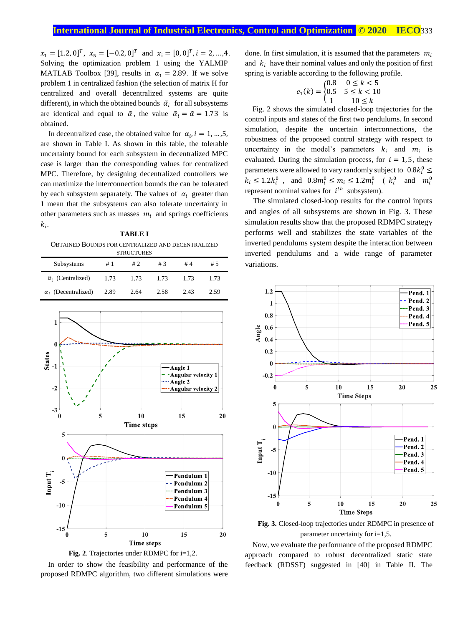$x_1 = [1.2, 0]^T$ ,  $x_5 = [-0.2, 0]^T$  and  $x_i = [0, 0]^T$ ,  $i = 2, ..., 4$ . Solving the optimization problem 1 using the YALMIP MATLAB Toolbox [39], results in  $\alpha_1 = 2.89$ . If we solve problem 1 in centralized fashion (the selection of matrix H for centralized and overall decentralized systems are quite different), in which the obtained bounds  $\tilde{a}_i$  for all subsystems are identical and equal to  $\tilde{\alpha}$ , the value  $\tilde{\alpha}_i = \tilde{\alpha} = 1.73$  is obtained.

In decentralized case, the obtained value for  $\alpha_i$ ,  $i = 1, ..., 5$ , are shown in Table I. As shown in this table, the tolerable uncertainty bound for each subsystem in decentralized MPC case is larger than the corresponding values for centralized MPC. Therefore, by designing decentralized controllers we can maximize the interconnection bounds the can be tolerated by each subsystem separately. The values of  $\alpha_i$  greater than 1 mean that the subsystems can also tolerate uncertainty in other parameters such as masses  $m_i$  and springs coefficients  $k_i$ .

**TABLE I** OBTAINED BOUNDS FOR CENTRALIZED AND DECENTRALIZED

| <b>STRUCTURES</b>                |      |      |      |      |      |  |  |  |  |  |
|----------------------------------|------|------|------|------|------|--|--|--|--|--|
| Subsystems                       | # 1  | #2   | #3   | #4   | # 5  |  |  |  |  |  |
| $\tilde{\alpha}_i$ (Centralized) | 1.73 | 1.73 | 1.73 | 1.73 | 1.73 |  |  |  |  |  |
| $\alpha_i$ (Decentralized)       | 2.89 | 2.64 | 2.58 | 2.43 | 2.59 |  |  |  |  |  |



**Fig. 2**. Trajectories under RDMPC for i=1,2.

In order to show the feasibility and performance of the proposed RDMPC algorithm, two different simulations were done. In first simulation, it is assumed that the parameters  $m_i$ and  $k_i$  have their nominal values and only the position of first spring is variable according to the following profile.

$$
e_1(k) = \begin{cases} 0.8 & 0 \leq k < 5 \\ 0.5 & 5 \leq k < 10 \\ 1 & 10 \leq k \end{cases}
$$

Fig. 2 shows the simulated closed-loop trajectories for the control inputs and states of the first two pendulums. In second simulation, despite the uncertain interconnections, the robustness of the proposed control strategy with respect to uncertainty in the model's parameters  $k_i$  and  $m_i$  is evaluated. During the simulation process, for  $i = 1, 5$ , these parameters were allowed to vary randomly subject to  $0.8k_i^0 \leq$  $k_i \leq 1.2k_i^0$ , and  $0.8m_i^0 \leq m_i \leq 1.2m_i^0$  ( $k_i^0$  and  $m_i^0$ represent nominal values for  $i^{th}$  subsystem).

The simulated closed-loop results for the control inputs and angles of all subsystems are shown in Fig. 3. These simulation results show that the proposed RDMPC strategy performs well and stabilizes the state variables of the inverted pendulums system despite the interaction between inverted pendulums and a wide range of parameter variations.



**Fig. 3.** Closed-loop trajectories under RDMPC in presence of parameter uncertainty for i=1,5.

Now, we evaluate the performance of the proposed RDMPC approach compared to robust decentralized static state feedback (RDSSF) suggested in [40] in Table II. The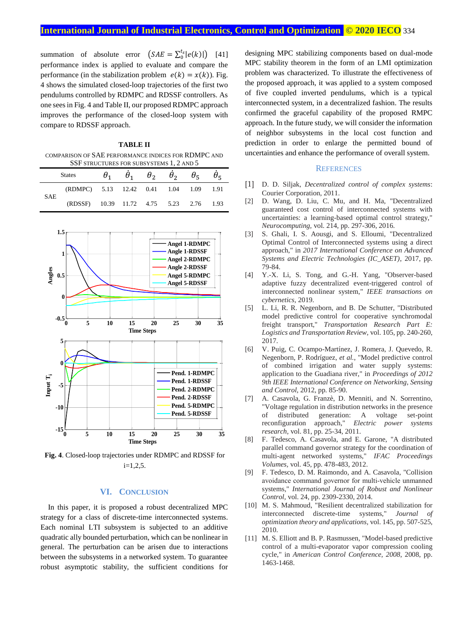summation of absolute error  $(SAE = \sum_{0}^{t_s} |e(k)|)$  [41] performance index is applied to evaluate and compare the performance (in the stabilization problem  $e(k) = x(k)$ ). Fig. 4 shows the simulated closed-loop trajectories of the first two pendulums controlled by RDMPC and RDSSF controllers. As one sees in Fig. 4 and Table II, our proposed RDMPC approach improves the performance of the closed-loop system with compare to RDSSF approach.

**TABLE II** COMPARISON OF SAE PERFORMANCE INDICES FOR RDMPC AND SSF STRUCTURES FOR SUBSYSTEMS 1, 2 AND 5

|            | <b>States</b>                           | $\theta_1$ $\theta_1$ $\theta_2$ $\theta_2$ $\theta_5$ $\theta_5$ |  |  |
|------------|-----------------------------------------|-------------------------------------------------------------------|--|--|
| <b>SAE</b> | (RDMPC) 5.13 12.42 0.41 1.04 1.09 1.91  |                                                                   |  |  |
|            | (RDSSF) 10.39 11.72 4.75 5.23 2.76 1.93 |                                                                   |  |  |



**Fig. 4**. Closed-loop trajectories under RDMPC and RDSSF for  $i=1,2,5$ .

## **VI. CONCLUSION**

In this paper, it is proposed a robust decentralized MPC strategy for a class of discrete-time interconnected systems. Each nominal LTI subsystem is subjected to an additive quadratic ally bounded perturbation, which can be nonlinear in general. The perturbation can be arisen due to interactions between the subsystems in a networked system. To guarantee robust asymptotic stability, the sufficient conditions for

designing MPC stabilizing components based on dual-mode MPC stability theorem in the form of an LMI optimization problem was characterized. To illustrate the effectiveness of the proposed approach, it was applied to a system composed of five coupled inverted pendulums, which is a typical interconnected system, in a decentralized fashion. The results confirmed the graceful capability of the proposed RMPC approach. In the future study, we will consider the information of neighbor subsystems in the local cost function and prediction in order to enlarge the permitted bound of uncertainties and enhance the performance of overall system.

## **REFERENCES**

- [1] D. D. Siljak, *Decentralized control of complex systems*: Courier Corporation, 2011.
- [2] D. Wang, D. Liu, C. Mu, and H. Ma, "Decentralized guaranteed cost control of interconnected systems with uncertainties: a learning-based optimal control strategy," *Neurocomputing,* vol. 214, pp. 297-306, 2016.
- [3] S. Ghali, I. S. Aousgi, and S. Elloumi, "Decentralized Optimal Control of Interconnected systems using a direct approach," in *2017 International Conference on Advanced Systems and Electric Technologies (IC\_ASET)*, 2017, pp. 79-84.
- [4] Y.-X. Li, S. Tong, and G.-H. Yang, "Observer-based adaptive fuzzy decentralized event-triggered control of interconnected nonlinear system," *IEEE transactions on cybernetics,* 2019.
- [5] L. Li, R. R. Negenborn, and B. De Schutter, "Distributed model predictive control for cooperative synchromodal freight transport," *Transportation Research Part E: Logistics and Transportation Review,* vol. 105, pp. 240-260, 2017.
- [6] V. Puig, C. Ocampo-Martínez, J. Romera, J. Quevedo, R. Negenborn, P. Rodríguez*, et al.*, "Model predictive control of combined irrigation and water supply systems: application to the Guadiana river," in *Proceedings of 2012 9th IEEE International Conference on Networking, Sensing and Control*, 2012, pp. 85-90.
- [7] A. Casavola, G. Franzè, D. Menniti, and N. Sorrentino, "Voltage regulation in distribution networks in the presence of distributed generation: A voltage set-point reconfiguration approach," *Electric power systems research,* vol. 81, pp. 25-34, 2011.
- [8] F. Tedesco, A. Casavola, and E. Garone, "A distributed parallel command governor strategy for the coordination of multi-agent networked systems," *IFAC Proceedings Volumes,* vol. 45, pp. 478-483, 2012.
- [9] F. Tedesco, D. M. Raimondo, and A. Casavola, "Collision avoidance command governor for multi‐vehicle unmanned systems," *International Journal of Robust and Nonlinear Control,* vol. 24, pp. 2309-2330, 2014.
- [10] M. S. Mahmoud, "Resilient decentralized stabilization for interconnected discrete-time systems," *Journal of optimization theory and applications,* vol. 145, pp. 507-525, 2010.
- [11] M. S. Elliott and B. P. Rasmussen, "Model-based predictive control of a multi-evaporator vapor compression cooling cycle," in *American Control Conference, 2008*, 2008, pp. 1463-1468.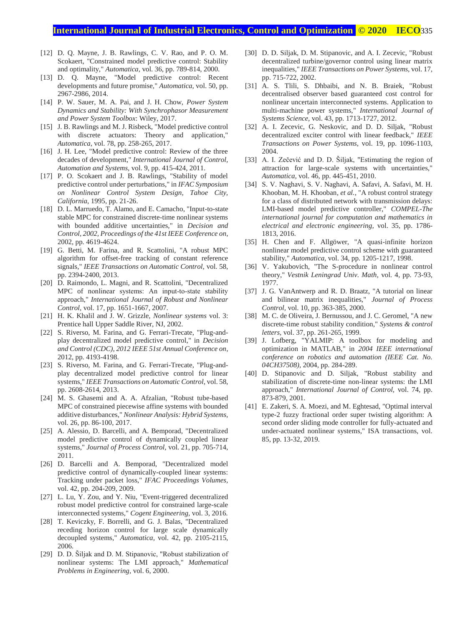# **International Journal of Industrial Electronics, Control and Optimization .© 2020 IECO**335

- [12] D. Q. Mayne, J. B. Rawlings, C. V. Rao, and P. O. M. Scokaert, "Constrained model predictive control: Stability and optimality," *Automatica,* vol. 36, pp. 789-814, 2000.
- [13] D. Q. Mayne, "Model predictive control: Recent developments and future promise," *Automatica,* vol. 50, pp. 2967-2986, 2014.
- [14] P. W. Sauer, M. A. Pai, and J. H. Chow, *Power System Dynamics and Stability: With Synchrophasor Measurement and Power System Toolbox*: Wiley, 2017.
- [15] J. B. Rawlings and M. J. Risbeck, "Model predictive control with discrete actuators: Theory and application," *Automatica,* vol. 78, pp. 258-265, 2017.
- [16] J. H. Lee, "Model predictive control: Review of the three decades of development," *International Journal of Control, Automation and Systems,* vol. 9, pp. 415-424, 2011.
- [17] P. O. Scokaert and J. B. Rawlings, "Stability of model predictive control under perturbations," in *IFAC Symposium on Nonlinear Control System Design, Tahoe City, California*, 1995, pp. 21-26.
- [18] D. L. Marruedo, T. Alamo, and E. Camacho, "Input-to-state stable MPC for constrained discrete-time nonlinear systems with bounded additive uncertainties," in *Decision and Control, 2002, Proceedings of the 41st IEEE Conference on*, 2002, pp. 4619-4624.
- [19] G. Betti, M. Farina, and R. Scattolini, "A robust MPC algorithm for offset-free tracking of constant reference signals," *IEEE Transactions on Automatic Control,* vol. 58, pp. 2394-2400, 2013.
- [20] D. Raimondo, L. Magni, and R. Scattolini, "Decentralized MPC of nonlinear systems: An input-to-state stability approach," *International Journal of Robust and Nonlinear Control,* vol. 17, pp. 1651-1667, 2007.
- [21] H. K. Khalil and J. W. Grizzle, *Nonlinear systems* vol. 3: Prentice hall Upper Saddle River, NJ, 2002.
- [22] S. Riverso, M. Farina, and G. Ferrari-Trecate, "Plug-andplay decentralized model predictive control," in *Decision and Control (CDC), 2012 IEEE 51st Annual Conference on*, 2012, pp. 4193-4198.
- [23] S. Riverso, M. Farina, and G. Ferrari-Trecate, "Plug-andplay decentralized model predictive control for linear systems," *IEEE Transactions on Automatic Control,* vol. 58, pp. 2608-2614, 2013.
- [24] M. S. Ghasemi and A. A. Afzalian, "Robust tube-based MPC of constrained piecewise affine systems with bounded additive disturbances," *Nonlinear Analysis: Hybrid Systems,*  vol. 26, pp. 86-100, 2017.
- [25] A. Alessio, D. Barcelli, and A. Bemporad, "Decentralized model predictive control of dynamically coupled linear systems," *Journal of Process Control,* vol. 21, pp. 705-714, 2011.
- [26] D. Barcelli and A. Bemporad, "Decentralized model predictive control of dynamically-coupled linear systems: Tracking under packet loss," *IFAC Proceedings Volumes,*  vol. 42, pp. 204-209, 2009.
- [27] L. Lu, Y. Zou, and Y. Niu, "Event-triggered decentralized robust model predictive control for constrained large-scale interconnected systems," *Cogent Engineering,* vol. 3, 2016.
- [28] T. Keviczky, F. Borrelli, and G. J. Balas, "Decentralized receding horizon control for large scale dynamically decoupled systems," *Automatica,* vol. 42, pp. 2105-2115, 2006.
- [29] D. D. Šiljak and D. M. Stipanovic, "Robust stabilization of nonlinear systems: The LMI approach," *Mathematical Problems in Engineering,* vol. 6, 2000.
- [30] D. D. Siljak, D. M. Stipanovic, and A. I. Zecevic, "Robust decentralized turbine/governor control using linear matrix inequalities," *IEEE Transactions on Power Systems,* vol. 17, pp. 715-722, 2002.
- [31] A. S. Tlili, S. Dhbaibi, and N. B. Braiek, "Robust decentralised observer based guaranteed cost control for nonlinear uncertain interconnected systems. Application to multi-machine power systems," *International Journal of Systems Science,* vol. 43, pp. 1713-1727, 2012.
- [32] A. I. Zecevic, G. Neskovic, and D. D. Siljak, "Robust decentralized exciter control with linear feedback," *IEEE Transactions on Power Systems,* vol. 19, pp. 1096-1103, 2004.
- [33] A. I. Zečević and D. D. Šiljak, "Estimating the region of attraction for large-scale systems with uncertainties," *Automatica,* vol. 46, pp. 445-451, 2010.
- [34] S. V. Naghavi, S. V. Naghavi, A. Safavi, A. Safavi, M. H. Khooban, M. H. Khooban*, et al.*, "A robust control strategy for a class of distributed network with transmission delays: LMI-based model predictive controller," *COMPEL-The international journal for computation and mathematics in electrical and electronic engineering,* vol. 35, pp. 1786- 1813, 2016.
- [35] H. Chen and F. Allgöwer, "A quasi-infinite horizon nonlinear model predictive control scheme with guaranteed stability," *Automatica,* vol. 34, pp. 1205-1217, 1998.
- [36] V. Yakubovich, "The S-procedure in nonlinear control theory," *Vestnik Leningrad Univ. Math,* vol. 4, pp. 73-93, 1977.
- [37] J. G. VanAntwerp and R. D. Braatz, "A tutorial on linear and bilinear matrix inequalities," *Journal of Process Control,* vol. 10, pp. 363-385, 2000.
- [38] M. C. de Oliveira, J. Bernussou, and J. C. Geromel, "A new discrete-time robust stability condition," *Systems & control letters,* vol. 37, pp. 261-265, 1999.
- [39] J. Lofberg, "YALMIP: A toolbox for modeling and optimization in MATLAB," in *2004 IEEE international conference on robotics and automation (IEEE Cat. No. 04CH37508)*, 2004, pp. 284-289.
- [40] D. Stipanovic and D. Siljak, "Robust stability and stabilization of discrete-time non-linear systems: the LMI approach," *International Journal of Control,* vol. 74, pp. 873-879, 2001.
- [41] E. Zakeri, S. A. Moezi, and M. Eghtesad, "Optimal interval type-2 fuzzy fractional order super twisting algorithm: A second order sliding mode controller for fully-actuated and under-actuated nonlinear systems," ISA transactions, vol. 85, pp. 13-32, 2019.